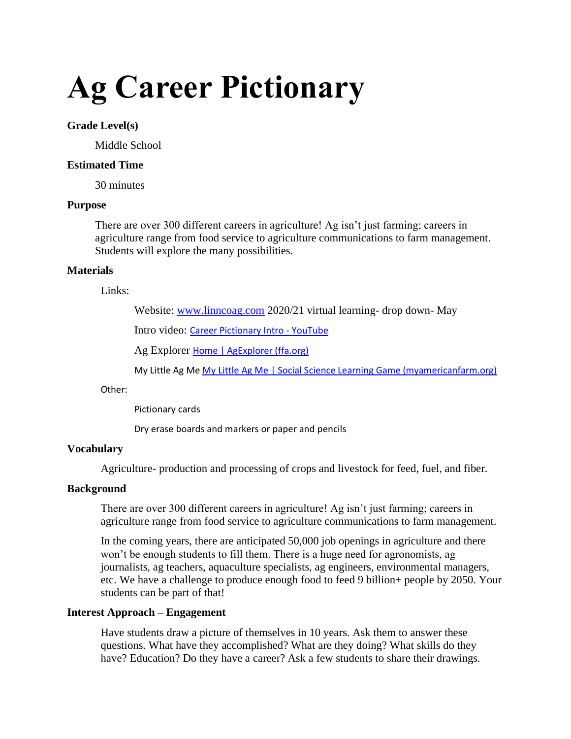# **Ag Career Pictionary**

#### **Grade Level(s)**

Middle School

## **Estimated Time**

30 minutes

#### **Purpose**

There are over 300 different careers in agriculture! Ag isn't just farming; careers in agriculture range from food service to agriculture communications to farm management. Students will explore the many possibilities.

#### **Materials**

Links:

Website: [www.linncoag.com](http://www.linncoag.com/) 2020/21 virtual learning- drop down- May

Intro video: [Career Pictionary Intro -](https://www.youtube.com/watch?v=3lJA3wUqArE) YouTube

Ag Explorer [Home | AgExplorer \(ffa.org\)](https://agexplorer.ffa.org/)

My Little Ag Me [My Little Ag Me | Social Science Learning Game \(myamericanfarm.org\)](http://www.myamericanfarm.org/games/my-little-ag-me)

Other:

Pictionary cards

Dry erase boards and markers or paper and pencils

## **Vocabulary**

Agriculture- production and processing of crops and livestock for feed, fuel, and fiber.

#### **Background**

There are over 300 different careers in agriculture! Ag isn't just farming; careers in agriculture range from food service to agriculture communications to farm management.

In the coming years, there are anticipated 50,000 job openings in agriculture and there won't be enough students to fill them. There is a huge need for agronomists, ag journalists, ag teachers, aquaculture specialists, ag engineers, environmental managers, etc. We have a challenge to produce enough food to feed 9 billion+ people by 2050. Your students can be part of that!

## **Interest Approach – Engagement**

Have students draw a picture of themselves in 10 years. Ask them to answer these questions. What have they accomplished? What are they doing? What skills do they have? Education? Do they have a career? Ask a few students to share their drawings.